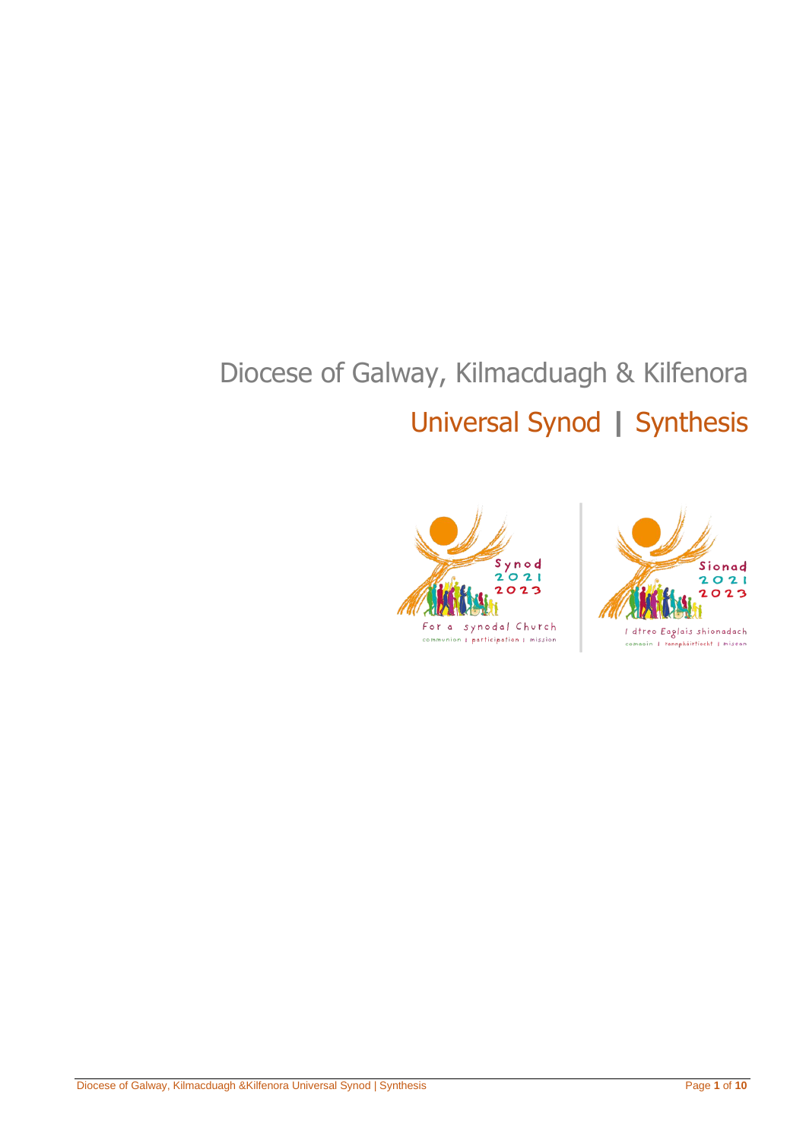# Diocese of Galway, Kilmacduagh & Kilfenora Universal Synod **|** Synthesis



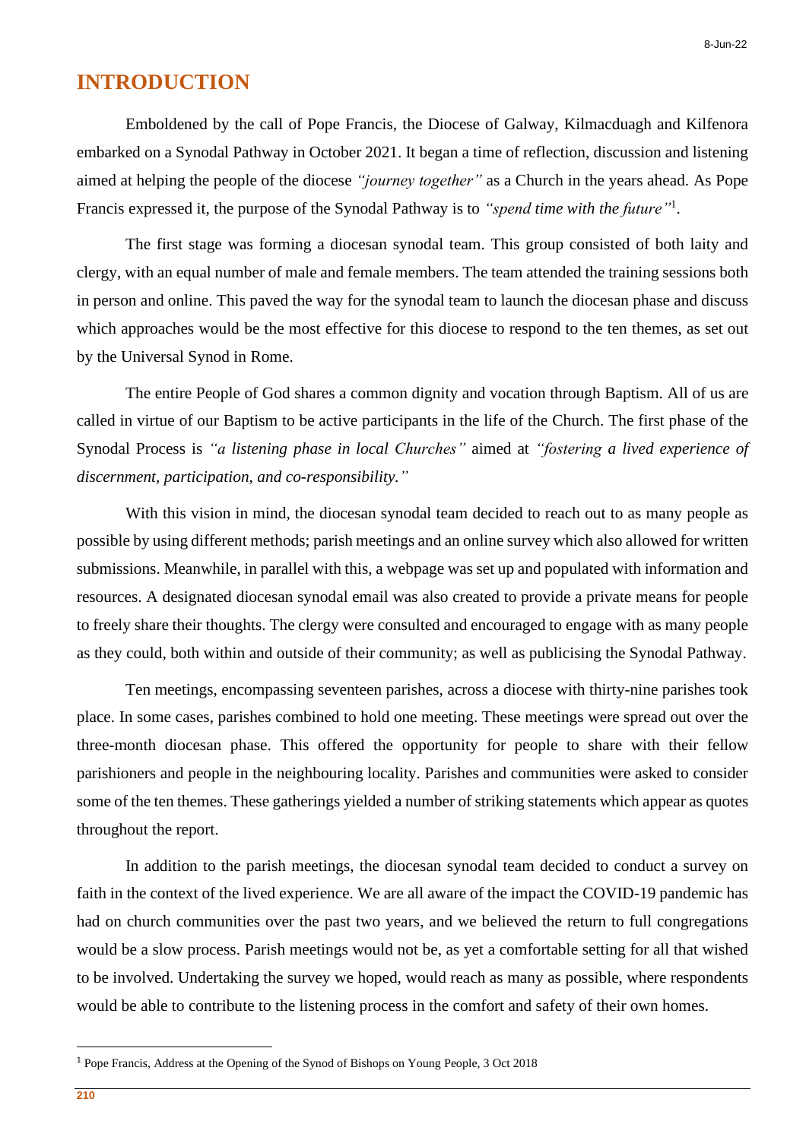#### **INTRODUCTION**

Emboldened by the call of Pope Francis, the Diocese of Galway, Kilmacduagh and Kilfenora embarked on a Synodal Pathway in October 2021. It began a time of reflection, discussion and listening aimed at helping the people of the diocese *"journey together"* as a Church in the years ahead. As Pope Francis expressed it, the purpose of the Synodal Pathway is to *"spend time with the future"*<sup>1</sup> .

The first stage was forming a diocesan synodal team. This group consisted of both laity and clergy, with an equal number of male and female members. The team attended the training sessions both in person and online. This paved the way for the synodal team to launch the diocesan phase and discuss which approaches would be the most effective for this diocese to respond to the ten themes, as set out by the Universal Synod in Rome.

The entire People of God shares a common dignity and vocation through Baptism. All of us are called in virtue of our Baptism to be active participants in the life of the Church. The first phase of the Synodal Process is *"a listening phase in local Churches"* aimed at *"fostering a lived experience of discernment, participation, and co-responsibility."*

With this vision in mind, the diocesan synodal team decided to reach out to as many people as possible by using different methods; parish meetings and an online survey which also allowed for written submissions. Meanwhile, in parallel with this, a webpage was set up and populated with information and resources. A designated diocesan synodal email was also created to provide a private means for people to freely share their thoughts. The clergy were consulted and encouraged to engage with as many people as they could, both within and outside of their community; as well as publicising the Synodal Pathway.

Ten meetings, encompassing seventeen parishes, across a diocese with thirty-nine parishes took place. In some cases, parishes combined to hold one meeting. These meetings were spread out over the three-month diocesan phase. This offered the opportunity for people to share with their fellow parishioners and people in the neighbouring locality. Parishes and communities were asked to consider some of the ten themes. These gatherings yielded a number of striking statements which appear as quotes throughout the report.

In addition to the parish meetings, the diocesan synodal team decided to conduct a survey on faith in the context of the lived experience. We are all aware of the impact the COVID-19 pandemic has had on church communities over the past two years, and we believed the return to full congregations would be a slow process. Parish meetings would not be, as yet a comfortable setting for all that wished to be involved. Undertaking the survey we hoped, would reach as many as possible, where respondents would be able to contribute to the listening process in the comfort and safety of their own homes.

<sup>1</sup> Pope Francis, Address at the Opening of the Synod of Bishops on Young People, 3 Oct 2018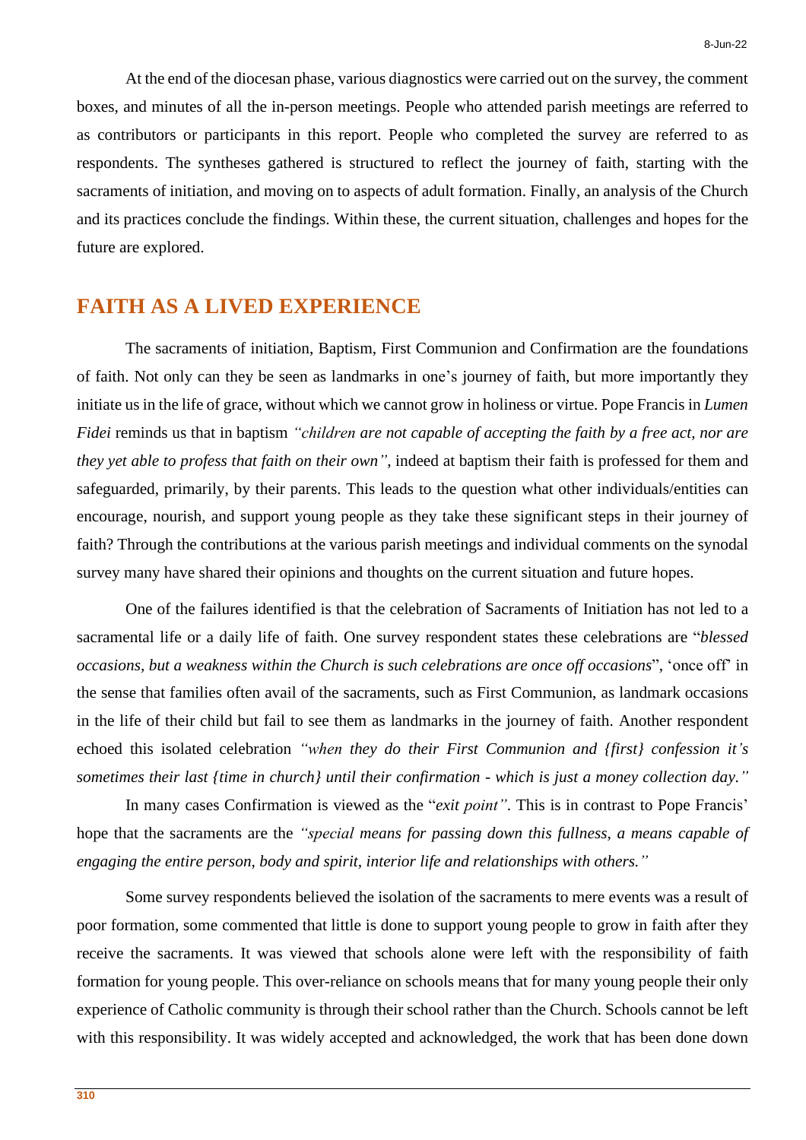At the end of the diocesan phase, various diagnostics were carried out on the survey, the comment boxes, and minutes of all the in-person meetings. People who attended parish meetings are referred to as contributors or participants in this report. People who completed the survey are referred to as respondents. The syntheses gathered is structured to reflect the journey of faith, starting with the sacraments of initiation, and moving on to aspects of adult formation. Finally, an analysis of the Church and its practices conclude the findings. Within these, the current situation, challenges and hopes for the future are explored.

## **FAITH AS A LIVED EXPERIENCE**

The sacraments of initiation, Baptism, First Communion and Confirmation are the foundations of faith. Not only can they be seen as landmarks in one's journey of faith, but more importantly they initiate us in the life of grace, without which we cannot grow in holiness or virtue. Pope Francis in *Lumen Fidei* reminds us that in baptism *"children are not capable of accepting the faith by a free act, nor are they yet able to profess that faith on their own"*, indeed at baptism their faith is professed for them and safeguarded, primarily, by their parents. This leads to the question what other individuals/entities can encourage, nourish, and support young people as they take these significant steps in their journey of faith? Through the contributions at the various parish meetings and individual comments on the synodal survey many have shared their opinions and thoughts on the current situation and future hopes.

One of the failures identified is that the celebration of Sacraments of Initiation has not led to a sacramental life or a daily life of faith. One survey respondent states these celebrations are "*blessed occasions, but a weakness within the Church is such celebrations are once off occasions*", 'once off' in the sense that families often avail of the sacraments, such as First Communion, as landmark occasions in the life of their child but fail to see them as landmarks in the journey of faith. Another respondent echoed this isolated celebration *"when they do their First Communion and {first} confession it's sometimes their last {time in church} until their confirmation - which is just a money collection day."*

In many cases Confirmation is viewed as the "*exit point"*. This is in contrast to Pope Francis' hope that the sacraments are the *"special means for passing down this fullness, a means capable of engaging the entire person, body and spirit, interior life and relationships with others."*

Some survey respondents believed the isolation of the sacraments to mere events was a result of poor formation, some commented that little is done to support young people to grow in faith after they receive the sacraments. It was viewed that schools alone were left with the responsibility of faith formation for young people. This over-reliance on schools means that for many young people their only experience of Catholic community is through their school rather than the Church. Schools cannot be left with this responsibility. It was widely accepted and acknowledged, the work that has been done down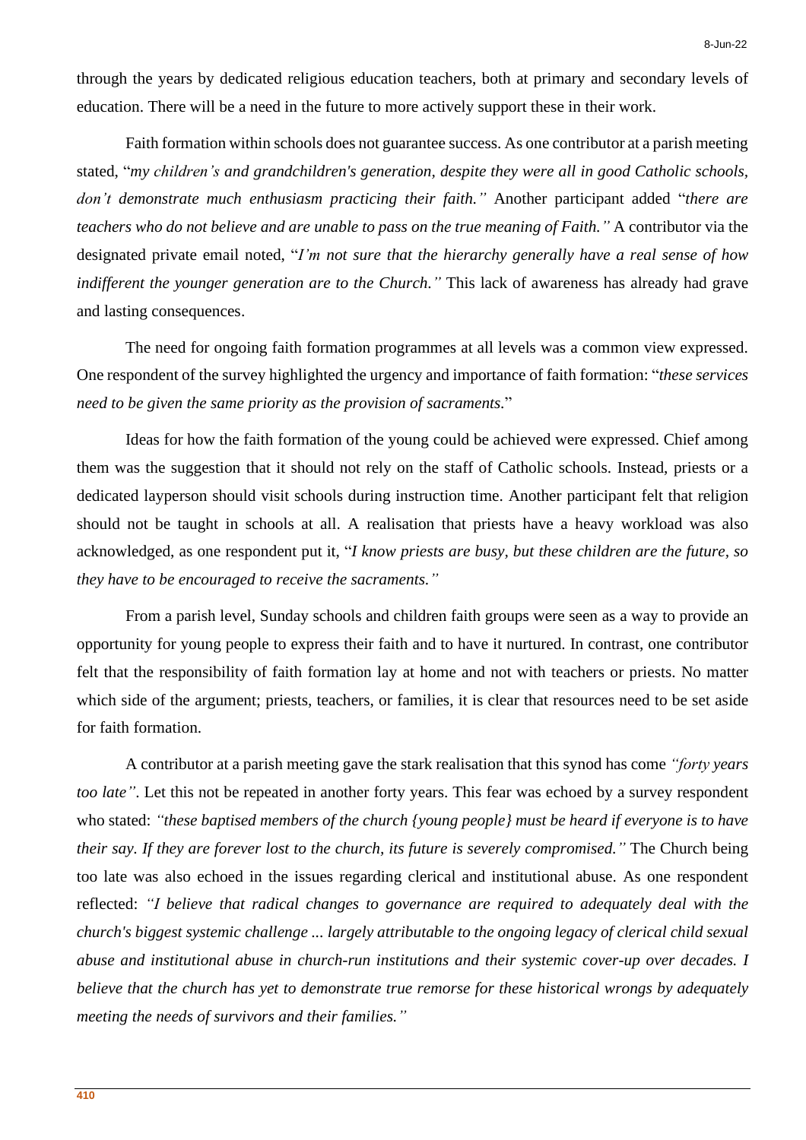through the years by dedicated religious education teachers, both at primary and secondary levels of education. There will be a need in the future to more actively support these in their work.

Faith formation within schools does not guarantee success. As one contributor at a parish meeting stated, "*my children's and grandchildren's generation, despite they were all in good Catholic schools, don't demonstrate much enthusiasm practicing their faith."* Another participant added "*there are teachers who do not believe and are unable to pass on the true meaning of Faith."* A contributor via the designated private email noted, "*I'm not sure that the hierarchy generally have a real sense of how indifferent the younger generation are to the Church."* This lack of awareness has already had grave and lasting consequences.

The need for ongoing faith formation programmes at all levels was a common view expressed. One respondent of the survey highlighted the urgency and importance of faith formation: "*these services need to be given the same priority as the provision of sacraments.*"

Ideas for how the faith formation of the young could be achieved were expressed. Chief among them was the suggestion that it should not rely on the staff of Catholic schools. Instead, priests or a dedicated layperson should visit schools during instruction time. Another participant felt that religion should not be taught in schools at all. A realisation that priests have a heavy workload was also acknowledged, as one respondent put it, "*I know priests are busy, but these children are the future, so they have to be encouraged to receive the sacraments."*

From a parish level, Sunday schools and children faith groups were seen as a way to provide an opportunity for young people to express their faith and to have it nurtured. In contrast, one contributor felt that the responsibility of faith formation lay at home and not with teachers or priests. No matter which side of the argument; priests, teachers, or families, it is clear that resources need to be set aside for faith formation.

A contributor at a parish meeting gave the stark realisation that this synod has come *"forty years too late"*. Let this not be repeated in another forty years. This fear was echoed by a survey respondent who stated: *"these baptised members of the church {young people} must be heard if everyone is to have their say. If they are forever lost to the church, its future is severely compromised."* The Church being too late was also echoed in the issues regarding clerical and institutional abuse. As one respondent reflected: *"I believe that radical changes to governance are required to adequately deal with the church's biggest systemic challenge ... largely attributable to the ongoing legacy of clerical child sexual abuse and institutional abuse in church-run institutions and their systemic cover-up over decades. I believe that the church has yet to demonstrate true remorse for these historical wrongs by adequately meeting the needs of survivors and their families."*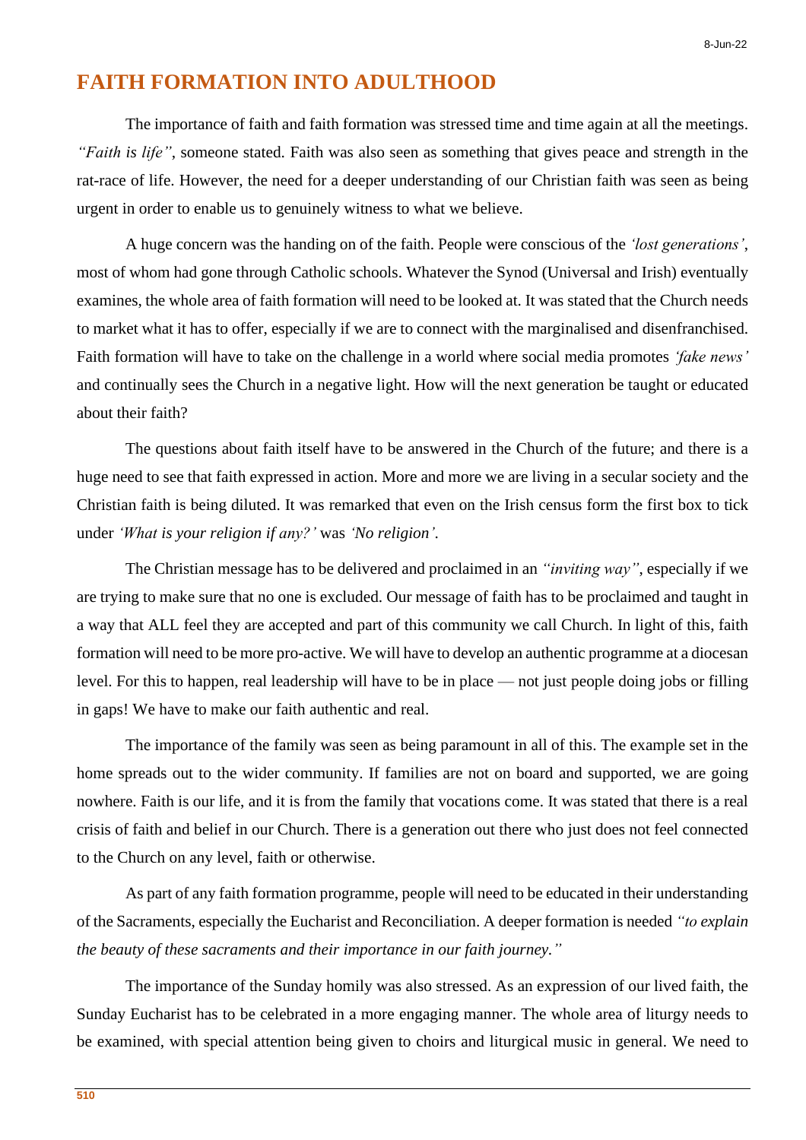### **FAITH FORMATION INTO ADULTHOOD**

The importance of faith and faith formation was stressed time and time again at all the meetings. *"Faith is life"*, someone stated. Faith was also seen as something that gives peace and strength in the rat-race of life. However, the need for a deeper understanding of our Christian faith was seen as being urgent in order to enable us to genuinely witness to what we believe.

A huge concern was the handing on of the faith. People were conscious of the *'lost generations'*, most of whom had gone through Catholic schools. Whatever the Synod (Universal and Irish) eventually examines, the whole area of faith formation will need to be looked at. It was stated that the Church needs to market what it has to offer, especially if we are to connect with the marginalised and disenfranchised. Faith formation will have to take on the challenge in a world where social media promotes *'fake news'* and continually sees the Church in a negative light. How will the next generation be taught or educated about their faith?

The questions about faith itself have to be answered in the Church of the future; and there is a huge need to see that faith expressed in action. More and more we are living in a secular society and the Christian faith is being diluted. It was remarked that even on the Irish census form the first box to tick under *'What is your religion if any?'* was *'No religion'*.

The Christian message has to be delivered and proclaimed in an *"inviting way"*, especially if we are trying to make sure that no one is excluded. Our message of faith has to be proclaimed and taught in a way that ALL feel they are accepted and part of this community we call Church. In light of this, faith formation will need to be more pro-active. We will have to develop an authentic programme at a diocesan level. For this to happen, real leadership will have to be in place — not just people doing jobs or filling in gaps! We have to make our faith authentic and real.

The importance of the family was seen as being paramount in all of this. The example set in the home spreads out to the wider community. If families are not on board and supported, we are going nowhere. Faith is our life, and it is from the family that vocations come. It was stated that there is a real crisis of faith and belief in our Church. There is a generation out there who just does not feel connected to the Church on any level, faith or otherwise.

As part of any faith formation programme, people will need to be educated in their understanding of the Sacraments, especially the Eucharist and Reconciliation. A deeper formation is needed *"to explain the beauty of these sacraments and their importance in our faith journey."*

The importance of the Sunday homily was also stressed. As an expression of our lived faith, the Sunday Eucharist has to be celebrated in a more engaging manner. The whole area of liturgy needs to be examined, with special attention being given to choirs and liturgical music in general. We need to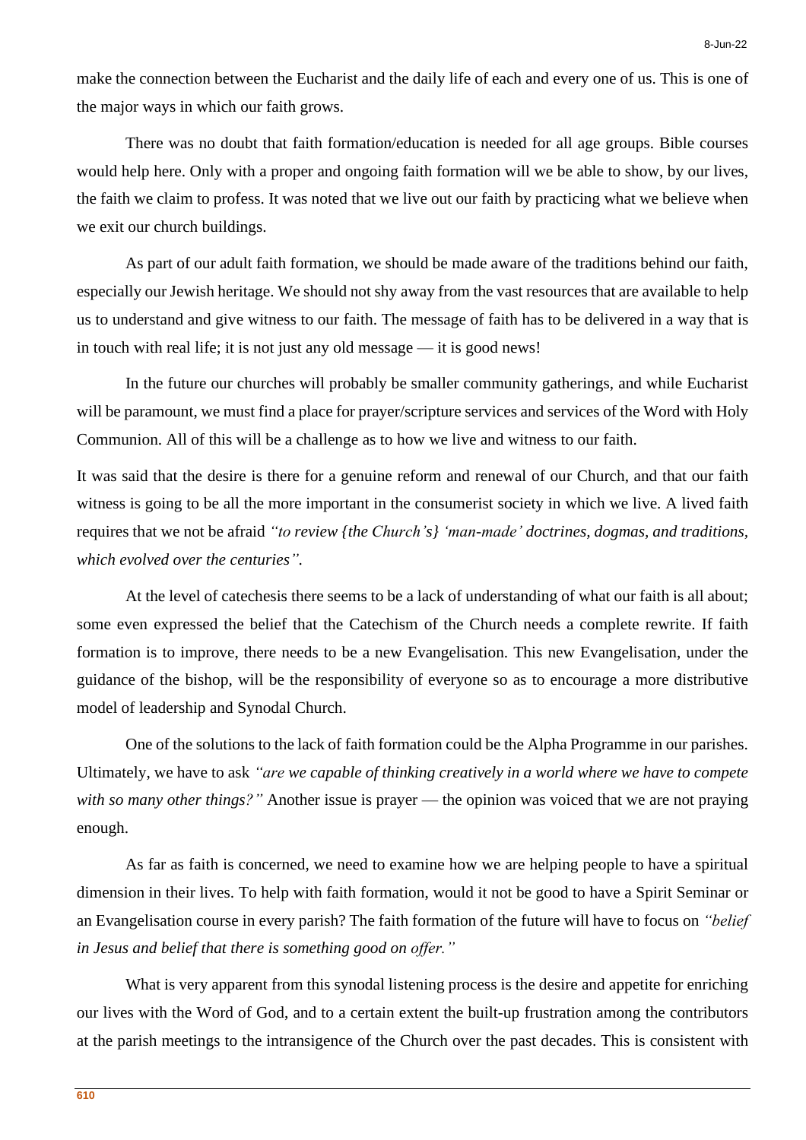make the connection between the Eucharist and the daily life of each and every one of us. This is one of the major ways in which our faith grows.

There was no doubt that faith formation/education is needed for all age groups. Bible courses would help here. Only with a proper and ongoing faith formation will we be able to show, by our lives, the faith we claim to profess. It was noted that we live out our faith by practicing what we believe when we exit our church buildings.

As part of our adult faith formation, we should be made aware of the traditions behind our faith, especially our Jewish heritage. We should not shy away from the vast resources that are available to help us to understand and give witness to our faith. The message of faith has to be delivered in a way that is in touch with real life; it is not just any old message — it is good news!

In the future our churches will probably be smaller community gatherings, and while Eucharist will be paramount, we must find a place for prayer/scripture services and services of the Word with Holy Communion. All of this will be a challenge as to how we live and witness to our faith.

It was said that the desire is there for a genuine reform and renewal of our Church, and that our faith witness is going to be all the more important in the consumerist society in which we live. A lived faith requires that we not be afraid *"to review {the Church's} 'man-made' doctrines, dogmas, and traditions, which evolved over the centuries".*

At the level of catechesis there seems to be a lack of understanding of what our faith is all about; some even expressed the belief that the Catechism of the Church needs a complete rewrite. If faith formation is to improve, there needs to be a new Evangelisation. This new Evangelisation, under the guidance of the bishop, will be the responsibility of everyone so as to encourage a more distributive model of leadership and Synodal Church.

One of the solutions to the lack of faith formation could be the Alpha Programme in our parishes. Ultimately, we have to ask *"are we capable of thinking creatively in a world where we have to compete with so many other things?"* Another issue is prayer — the opinion was voiced that we are not praying enough.

As far as faith is concerned, we need to examine how we are helping people to have a spiritual dimension in their lives. To help with faith formation, would it not be good to have a Spirit Seminar or an Evangelisation course in every parish? The faith formation of the future will have to focus on *"belief in Jesus and belief that there is something good on offer."*

What is very apparent from this synodal listening process is the desire and appetite for enriching our lives with the Word of God, and to a certain extent the built-up frustration among the contributors at the parish meetings to the intransigence of the Church over the past decades. This is consistent with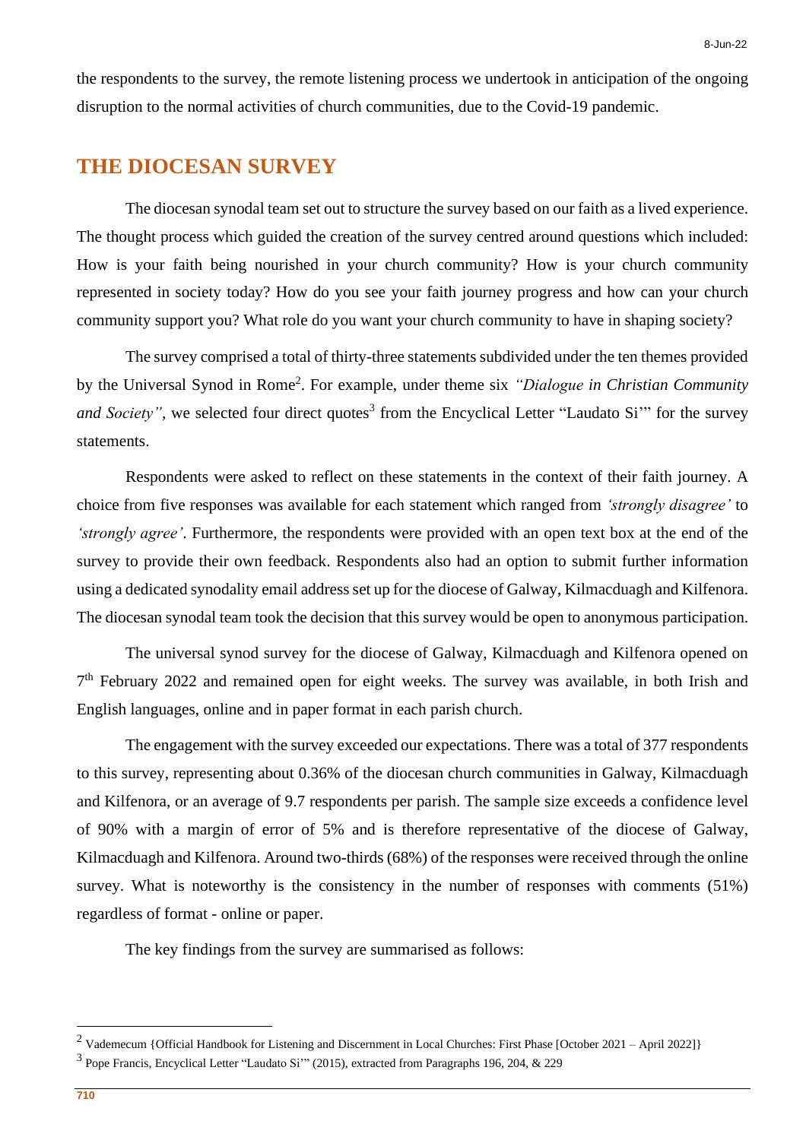the respondents to the survey, the remote listening process we undertook in anticipation of the ongoing disruption to the normal activities of church communities, due to the Covid-19 pandemic.

#### **THE DIOCESAN SURVEY**

The diocesan synodal team set out to structure the survey based on our faith as a lived experience. The thought process which guided the creation of the survey centred around questions which included: How is your faith being nourished in your church community? How is your church community represented in society today? How do you see your faith journey progress and how can your church community support you? What role do you want your church community to have in shaping society?

The survey comprised a total of thirty-three statements subdivided under the ten themes provided by the Universal Synod in Rome<sup>2</sup> . For example, under theme six *"Dialogue in Christian Community* and Society", we selected four direct quotes<sup>3</sup> from the Encyclical Letter "Laudato Si" for the survey statements.

Respondents were asked to reflect on these statements in the context of their faith journey. A choice from five responses was available for each statement which ranged from *'strongly disagree'* to *'strongly agree'*. Furthermore, the respondents were provided with an open text box at the end of the survey to provide their own feedback. Respondents also had an option to submit further information using a dedicated synodality email address set up for the diocese of Galway, Kilmacduagh and Kilfenora. The diocesan synodal team took the decision that this survey would be open to anonymous participation.

The universal synod survey for the diocese of Galway, Kilmacduagh and Kilfenora opened on 7<sup>th</sup> February 2022 and remained open for eight weeks. The survey was available, in both Irish and English languages, online and in paper format in each parish church.

The engagement with the survey exceeded our expectations. There was a total of 377 respondents to this survey, representing about 0.36% of the diocesan church communities in Galway, Kilmacduagh and Kilfenora, or an average of 9.7 respondents per parish. The sample size exceeds a confidence level of 90% with a margin of error of 5% and is therefore representative of the diocese of Galway, Kilmacduagh and Kilfenora. Around two-thirds (68%) of the responses were received through the online survey. What is noteworthy is the consistency in the number of responses with comments (51%) regardless of format - online or paper.

The key findings from the survey are summarised as follows:

<sup>&</sup>lt;sup>2</sup> Vademecum {Official Handbook for Listening and Discernment in Local Churches: First Phase [October 2021 – April 2022]}

<sup>&</sup>lt;sup>3</sup> Pope Francis, Encyclical Letter "Laudato Si" (2015), extracted from Paragraphs 196, 204, & 229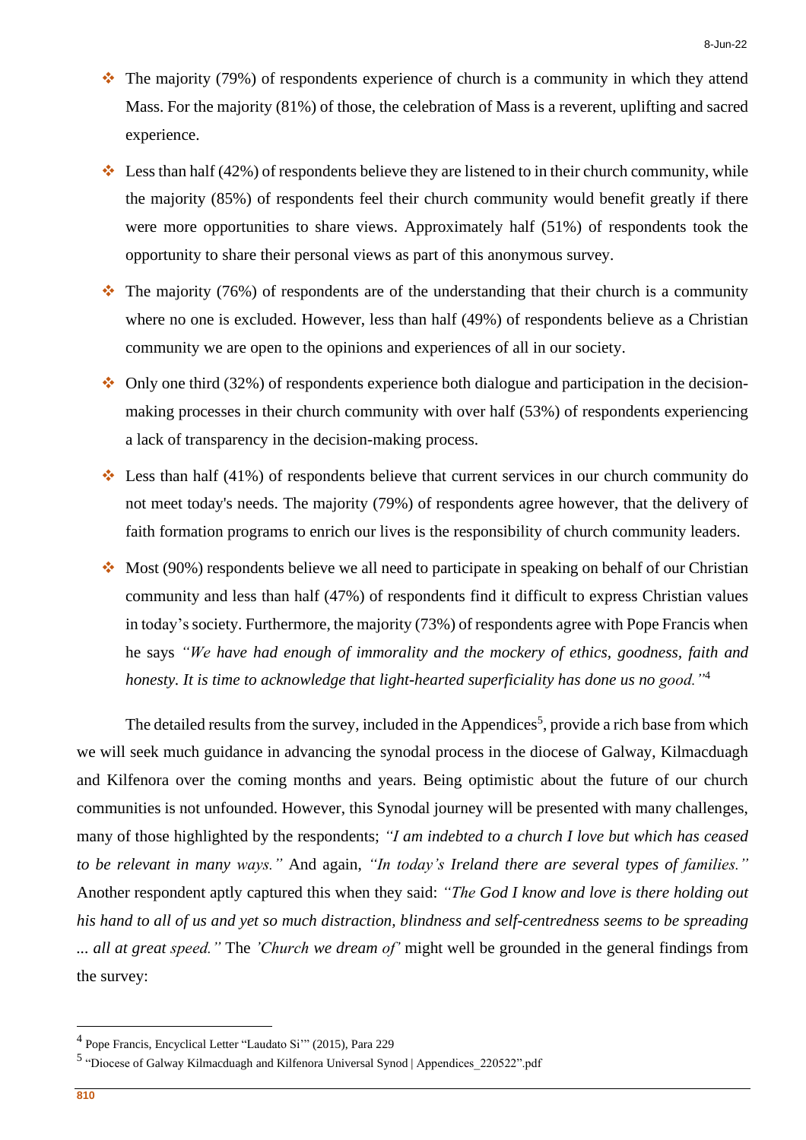- ❖ The majority (79%) of respondents experience of church is a community in which they attend Mass. For the majority (81%) of those, the celebration of Mass is a reverent, uplifting and sacred experience.
- $\cdot$  Less than half (42%) of respondents believe they are listened to in their church community, while the majority (85%) of respondents feel their church community would benefit greatly if there were more opportunities to share views. Approximately half (51%) of respondents took the opportunity to share their personal views as part of this anonymous survey.
- $\cdot \cdot$  The majority (76%) of respondents are of the understanding that their church is a community where no one is excluded. However, less than half (49%) of respondents believe as a Christian community we are open to the opinions and experiences of all in our society.
- $\cdot$  Only one third (32%) of respondents experience both dialogue and participation in the decisionmaking processes in their church community with over half (53%) of respondents experiencing a lack of transparency in the decision-making process.
- $\cdot$  Less than half (41%) of respondents believe that current services in our church community do not meet today's needs. The majority (79%) of respondents agree however, that the delivery of faith formation programs to enrich our lives is the responsibility of church community leaders.
- ❖ Most (90%) respondents believe we all need to participate in speaking on behalf of our Christian community and less than half (47%) of respondents find it difficult to express Christian values in today's society. Furthermore, the majority (73%) of respondents agree with Pope Francis when he says *"We have had enough of immorality and the mockery of ethics, goodness, faith and honesty. It is time to acknowledge that light-hearted superficiality has done us no good."*<sup>4</sup>

The detailed results from the survey, included in the Appendices<sup>5</sup>, provide a rich base from which we will seek much guidance in advancing the synodal process in the diocese of Galway, Kilmacduagh and Kilfenora over the coming months and years. Being optimistic about the future of our church communities is not unfounded. However, this Synodal journey will be presented with many challenges, many of those highlighted by the respondents; *"I am indebted to a church I love but which has ceased to be relevant in many ways."* And again, *"In today's Ireland there are several types of families."* Another respondent aptly captured this when they said: *"The God I know and love is there holding out* his hand to all of us and yet so much distraction, blindness and self-centredness seems to be spreading *... all at great speed."* The *'Church we dream of'* might well be grounded in the general findings from the survey:

<sup>4</sup> Pope Francis, Encyclical Letter "Laudato Si'" (2015), Para 229

<sup>&</sup>lt;sup>5</sup> "Diocese of Galway Kilmacduagh and Kilfenora Universal Synod | Appendices 220522".pdf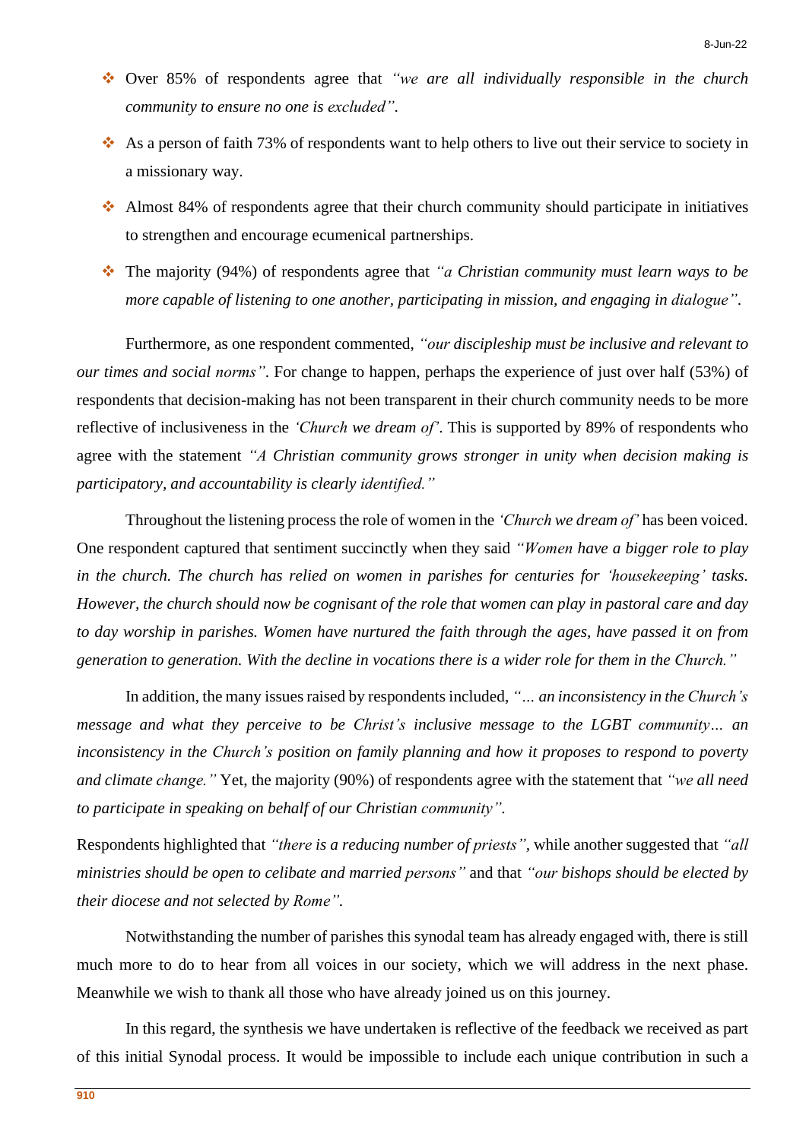- ❖ Over 85% of respondents agree that *"we are all individually responsible in the church community to ensure no one is excluded"*.
- ❖ As a person of faith 73% of respondents want to help others to live out their service to society in a missionary way.
- ❖ Almost 84% of respondents agree that their church community should participate in initiatives to strengthen and encourage ecumenical partnerships.
- ❖ The majority (94%) of respondents agree that *"a Christian community must learn ways to be more capable of listening to one another, participating in mission, and engaging in dialogue"*.

Furthermore, as one respondent commented, *"our discipleship must be inclusive and relevant to our times and social norms"*. For change to happen, perhaps the experience of just over half (53%) of respondents that decision-making has not been transparent in their church community needs to be more reflective of inclusiveness in the *'Church we dream of'*. This is supported by 89% of respondents who agree with the statement *"A Christian community grows stronger in unity when decision making is participatory, and accountability is clearly identified."*

Throughout the listening process the role of women in the *'Church we dream of'* has been voiced. One respondent captured that sentiment succinctly when they said *"Women have a bigger role to play in the church. The church has relied on women in parishes for centuries for 'housekeeping' tasks.* However, the church should now be cognisant of the role that women can play in pastoral care and day *to day worship in parishes. Women have nurtured the faith through the ages, have passed it on from* generation to generation. With the decline in vocations there is a wider role for them in the Church."

In addition, the many issues raised by respondents included, "... *an inconsistency in the Church's message and what they perceive to be Christ's inclusive message to the LGBT community… an inconsistency in the Church's position on family planning and how it proposes to respond to poverty and climate change."* Yet, the majority (90%) of respondents agree with the statement that *"we all need to participate in speaking on behalf of our Christian community".*

Respondents highlighted that *"there is a reducing number of priests",* while another suggested that *"all ministries should be open to celibate and married persons"* and that *"our bishops should be elected by their diocese and not selected by Rome".*

Notwithstanding the number of parishes this synodal team has already engaged with, there is still much more to do to hear from all voices in our society, which we will address in the next phase. Meanwhile we wish to thank all those who have already joined us on this journey.

In this regard, the synthesis we have undertaken is reflective of the feedback we received as part of this initial Synodal process. It would be impossible to include each unique contribution in such a